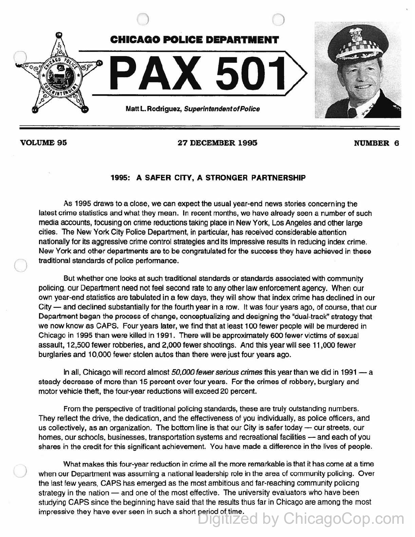

 $\bigcirc$ 

)

VOLUME 95 27 DECEMBER 1995 NUMBER 6

## 1995: A SAFER CITY, A STRONGER PARTNERSHIP

As 1995 draws to a close, we can expect the usual year-end news stories concerning the latest crime statistics and what they mean. In recent months, we have already seen a number of such media accounts, focusing on crime reductions taking place in New York, Los Angeles and other large cities. The New York City Police Department, in particular, has received considerable attention nationally for its aggressive crime control strategies and its impressive results in reducing index crime. New York and other departments are to be congratulated for the success they have achieved in these traditional standards of police performance.

But whether one looks at such traditional standards or standards associated with communify policing, our Department need not feel second rate to any other law enforcement agency. When our own year-end statistics are tabulated in a few days, they will show that index crime has declined in our City — and declined substantially for the fourth year in a row. It was four years ago, of course, that our Department began the process of change, conceptualizing and designing the "dual-track" strategy that we now know as CAPS. Four years later, we find that at least 100 fewer people will be murdered in Chicago in 1995 than were killed in 1991. There will be approximately 600 fewer victims of sexual assault, 12,500 fewer robberies, and 2,000 fewer shootings. And this year will see 11,000 fewer burglaries and 10,000 fewer stolen autos than there were just tour years ago.

In all, Chicago will record almost 50,000 fewer serious crimes this year than we did in 1991 - a steady decrease of more than 15 percent over four years. For the crimes of robbery, burglary and motor vehicle theft, the four-year reductions will exceed 20 percent.

From the perspective of traditional policing standards, these are truly outstanding numbers. They reflect the drive, the dedication, and the effectiveness of you individually, as police officers, and us collectively, as an organization. The bottom line is that our City is safer today  $-$  our streets, our homes, our schools, businesses, transportation systems and recreational facilities - and each of you shares in the credit for this significant achievement. You have made a difference in the lives of people.

What makes this four-year reduction in crime all the more remarkable is that it has come at a time when our Department was assuming a national leadership role in the area of community policing. Over the last few years, CAPS has emerged as the most ambitious and far-reaching community policing strategy in the nation - and one of the most effective. The university evaluators who have been studying CAPS since the beginning have said that the results thus far in Chicago are among the most impressive they have ever seen in such a short period of time. Digitized by ChicagoCop.com